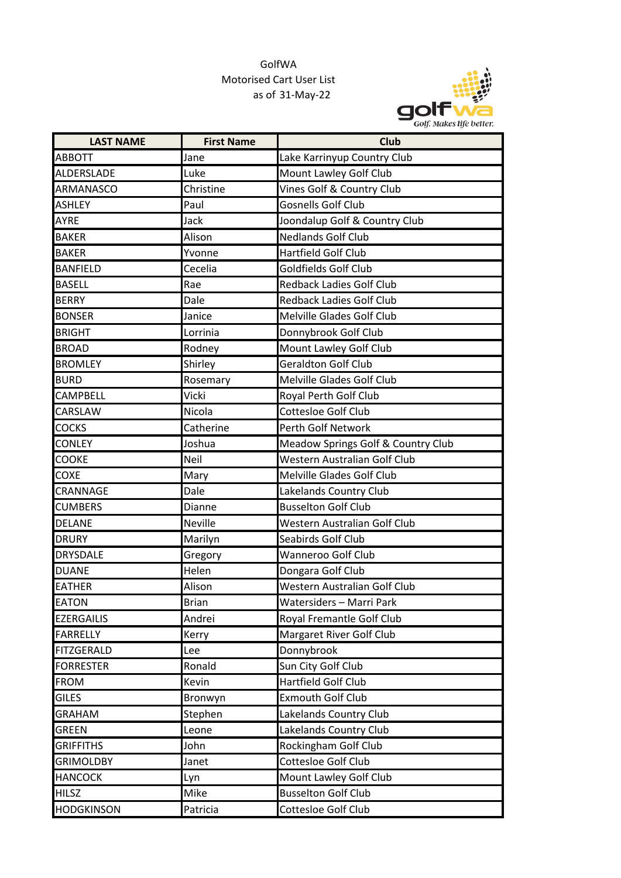## 31-May-22 as ofGolfWA Motorised Cart User List



| <b>LAST NAME</b>  | <b>First Name</b> | <b>Club</b>                        |
|-------------------|-------------------|------------------------------------|
| <b>ABBOTT</b>     | Jane              | Lake Karrinyup Country Club        |
| ALDERSLADE        | Luke              | Mount Lawley Golf Club             |
| <b>ARMANASCO</b>  | Christine         | Vines Golf & Country Club          |
| <b>ASHLEY</b>     | Paul              | Gosnells Golf Club                 |
| <b>AYRE</b>       | Jack              | Joondalup Golf & Country Club      |
| <b>BAKER</b>      | Alison            | <b>Nedlands Golf Club</b>          |
| <b>BAKER</b>      | Yvonne            | Hartfield Golf Club                |
| <b>BANFIELD</b>   | Cecelia           | Goldfields Golf Club               |
| <b>BASELL</b>     | Rae               | <b>Redback Ladies Golf Club</b>    |
| <b>BERRY</b>      | Dale              | <b>Redback Ladies Golf Club</b>    |
| <b>BONSER</b>     | Janice            | Melville Glades Golf Club          |
| <b>BRIGHT</b>     | Lorrinia          | Donnybrook Golf Club               |
| <b>BROAD</b>      | Rodney            | Mount Lawley Golf Club             |
| <b>BROMLEY</b>    | Shirley           | <b>Geraldton Golf Club</b>         |
| <b>BURD</b>       | Rosemary          | Melville Glades Golf Club          |
| <b>CAMPBELL</b>   | Vicki             | Royal Perth Golf Club              |
| CARSLAW           | Nicola            | Cottesloe Golf Club                |
| <b>COCKS</b>      | Catherine         | Perth Golf Network                 |
| <b>CONLEY</b>     | Joshua            | Meadow Springs Golf & Country Club |
| <b>COOKE</b>      | Neil              | Western Australian Golf Club       |
| COXE              | Mary              | Melville Glades Golf Club          |
| CRANNAGE          | Dale              | Lakelands Country Club             |
| <b>CUMBERS</b>    | Dianne            | <b>Busselton Golf Club</b>         |
| <b>DELANE</b>     | Neville           | Western Australian Golf Club       |
| <b>DRURY</b>      | Marilyn           | Seabirds Golf Club                 |
| <b>DRYSDALE</b>   | Gregory           | Wanneroo Golf Club                 |
| <b>DUANE</b>      | Helen             | Dongara Golf Club                  |
| <b>EATHER</b>     | Alison            | Western Australian Golf Club       |
| <b>EATON</b>      | <b>Brian</b>      | Watersiders - Marri Park           |
| <b>EZERGAILIS</b> | Andrei            | Royal Fremantle Golf Club          |
| <b>FARRELLY</b>   | Kerry             | Margaret River Golf Club           |
| <b>FITZGERALD</b> | Lee               | Donnybrook                         |
| <b>FORRESTER</b>  | Ronald            | Sun City Golf Club                 |
| <b>FROM</b>       | Kevin             | Hartfield Golf Club                |
| <b>GILES</b>      | Bronwyn           | <b>Exmouth Golf Club</b>           |
| <b>GRAHAM</b>     | Stephen           | Lakelands Country Club             |
| <b>GREEN</b>      | Leone             | Lakelands Country Club             |
| <b>GRIFFITHS</b>  | John              | Rockingham Golf Club               |
| <b>GRIMOLDBY</b>  | Janet             | Cottesloe Golf Club                |
| <b>HANCOCK</b>    | Lyn               | Mount Lawley Golf Club             |
| <b>HILSZ</b>      | Mike              | <b>Busselton Golf Club</b>         |
| <b>HODGKINSON</b> | Patricia          | Cottesloe Golf Club                |